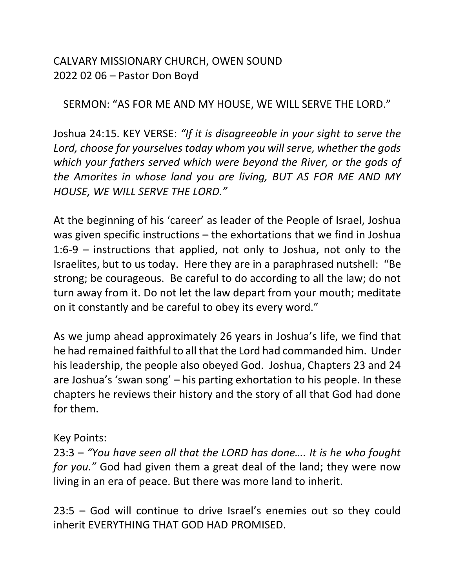CALVARY MISSIONARY CHURCH, OWEN SOUND 2022 02 06 – Pastor Don Boyd

SERMON: "AS FOR ME AND MY HOUSE, WE WILL SERVE THE LORD."

Joshua 24:15. KEY VERSE: *"If it is disagreeable in your sight to serve the Lord, choose for yourselves today whom you will serve, whether the gods which your fathers served which were beyond the River, or the gods of the Amorites in whose land you are living, BUT AS FOR ME AND MY HOUSE, WE WILL SERVE THE LORD."*

At the beginning of his 'career' as leader of the People of Israel, Joshua was given specific instructions – the exhortations that we find in Joshua 1:6-9 – instructions that applied, not only to Joshua, not only to the Israelites, but to us today. Here they are in a paraphrased nutshell: "Be strong; be courageous. Be careful to do according to all the law; do not turn away from it. Do not let the law depart from your mouth; meditate on it constantly and be careful to obey its every word."

As we jump ahead approximately 26 years in Joshua's life, we find that he had remained faithful to all that the Lord had commanded him. Under his leadership, the people also obeyed God. Joshua, Chapters 23 and 24 are Joshua's 'swan song' – his parting exhortation to his people. In these chapters he reviews their history and the story of all that God had done for them.

## Key Points:

23:3 – *"You have seen all that the LORD has done…. It is he who fought for you."* God had given them a great deal of the land; they were now living in an era of peace. But there was more land to inherit.

23:5 – God will continue to drive Israel's enemies out so they could inherit EVERYTHING THAT GOD HAD PROMISED.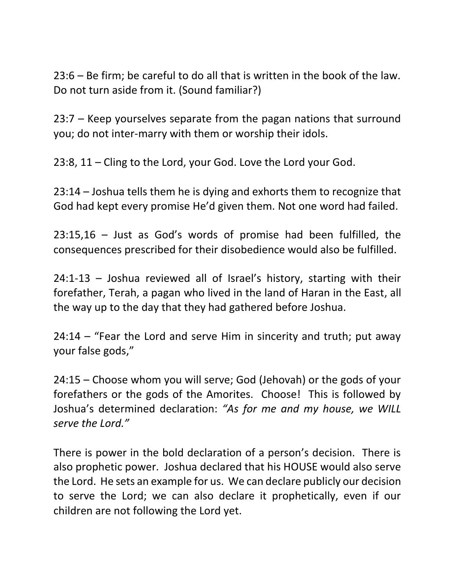23:6 – Be firm; be careful to do all that is written in the book of the law. Do not turn aside from it. (Sound familiar?)

23:7 – Keep yourselves separate from the pagan nations that surround you; do not inter-marry with them or worship their idols.

23:8, 11 – Cling to the Lord, your God. Love the Lord your God.

23:14 – Joshua tells them he is dying and exhorts them to recognize that God had kept every promise He'd given them. Not one word had failed.

23:15,16 – Just as God's words of promise had been fulfilled, the consequences prescribed for their disobedience would also be fulfilled.

24:1-13 – Joshua reviewed all of Israel's history, starting with their forefather, Terah, a pagan who lived in the land of Haran in the East, all the way up to the day that they had gathered before Joshua.

24:14 – "Fear the Lord and serve Him in sincerity and truth; put away your false gods,"

24:15 – Choose whom you will serve; God (Jehovah) or the gods of your forefathers or the gods of the Amorites. Choose! This is followed by Joshua's determined declaration: *"As for me and my house, we WILL serve the Lord."*

There is power in the bold declaration of a person's decision. There is also prophetic power. Joshua declared that his HOUSE would also serve the Lord. He sets an example for us. We can declare publicly our decision to serve the Lord; we can also declare it prophetically, even if our children are not following the Lord yet.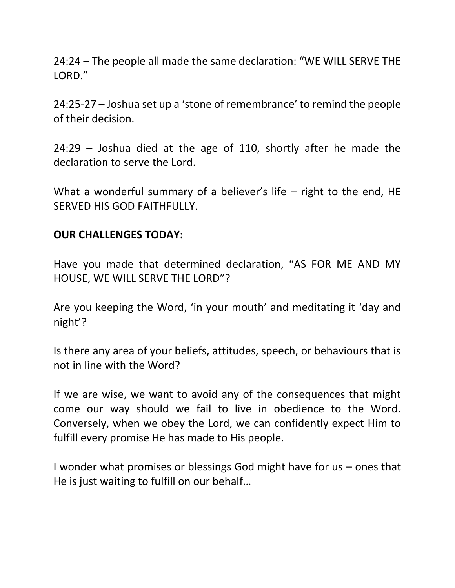24:24 – The people all made the same declaration: "WE WILL SERVE THE LORD."

24:25-27 – Joshua set up a 'stone of remembrance' to remind the people of their decision.

24:29 – Joshua died at the age of 110, shortly after he made the declaration to serve the Lord.

What a wonderful summary of a believer's life – right to the end, HE SERVED HIS GOD FAITHFULLY.

## **OUR CHALLENGES TODAY:**

Have you made that determined declaration, "AS FOR ME AND MY HOUSE, WE WILL SERVE THE LORD"?

Are you keeping the Word, 'in your mouth' and meditating it 'day and night'?

Is there any area of your beliefs, attitudes, speech, or behaviours that is not in line with the Word?

If we are wise, we want to avoid any of the consequences that might come our way should we fail to live in obedience to the Word. Conversely, when we obey the Lord, we can confidently expect Him to fulfill every promise He has made to His people.

I wonder what promises or blessings God might have for us – ones that He is just waiting to fulfill on our behalf…